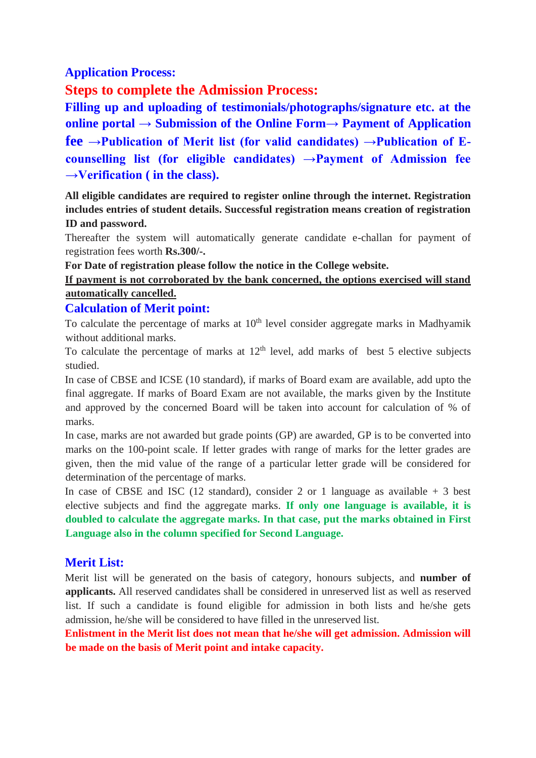## **Application Process:**

# **Steps to complete the Admission Process:**

**Filling up and uploading of testimonials/photographs/signature etc. at the online portal → Submission of the Online Form→ Payment of Application fee →Publication of Merit list (for valid candidates) →Publication of Ecounselling list (for eligible candidates) →Payment of Admission fee →Verification ( in the class).** 

**All eligible candidates are required to register online through the internet. Registration includes entries of student details. Successful registration means creation of registration ID and password.** 

Thereafter the system will automatically generate candidate e-challan for payment of registration fees worth **Rs.300/-.**

**For Date of registration please follow the notice in the College website.**

#### **If payment is not corroborated by the bank concerned, the options exercised will stand automatically cancelled.**

#### **Calculation of Merit point:**

To calculate the percentage of marks at  $10<sup>th</sup>$  level consider aggregate marks in Madhyamik without additional marks.

To calculate the percentage of marks at  $12<sup>th</sup>$  level, add marks of best 5 elective subjects studied.

In case of CBSE and ICSE (10 standard), if marks of Board exam are available, add upto the final aggregate. If marks of Board Exam are not available, the marks given by the Institute and approved by the concerned Board will be taken into account for calculation of % of marks.

In case, marks are not awarded but grade points (GP) are awarded, GP is to be converted into marks on the 100-point scale. If letter grades with range of marks for the letter grades are given, then the mid value of the range of a particular letter grade will be considered for determination of the percentage of marks.

In case of CBSE and ISC (12 standard), consider 2 or 1 language as available  $+3$  best elective subjects and find the aggregate marks. **If only one language is available, it is doubled to calculate the aggregate marks. In that case, put the marks obtained in First Language also in the column specified for Second Language.** 

# **Merit List:**

Merit list will be generated on the basis of category, honours subjects, and **number of applicants.** All reserved candidates shall be considered in unreserved list as well as reserved list. If such a candidate is found eligible for admission in both lists and he/she gets admission, he/she will be considered to have filled in the unreserved list.

**Enlistment in the Merit list does not mean that he/she will get admission. Admission will be made on the basis of Merit point and intake capacity.**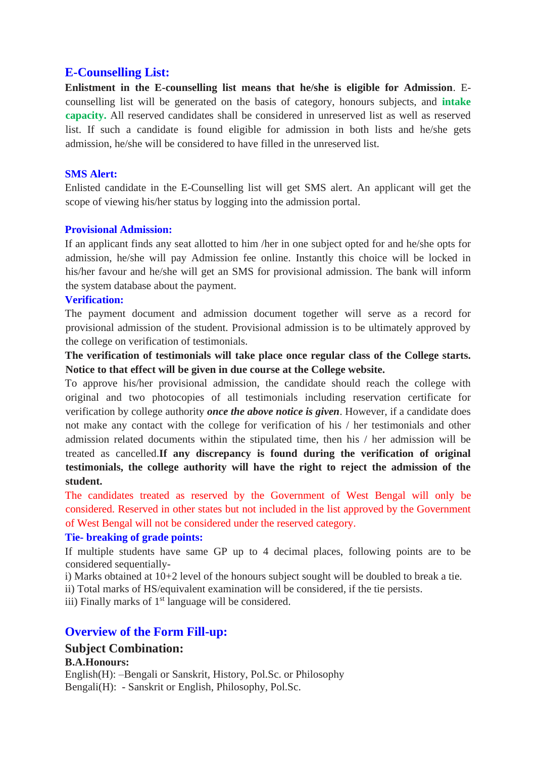## **E-Counselling List:**

**Enlistment in the E-counselling list means that he/she is eligible for Admission**. Ecounselling list will be generated on the basis of category, honours subjects, and **intake capacity.** All reserved candidates shall be considered in unreserved list as well as reserved list. If such a candidate is found eligible for admission in both lists and he/she gets admission, he/she will be considered to have filled in the unreserved list.

#### **SMS Alert:**

Enlisted candidate in the E-Counselling list will get SMS alert. An applicant will get the scope of viewing his/her status by logging into the admission portal.

#### **Provisional Admission:**

If an applicant finds any seat allotted to him /her in one subject opted for and he/she opts for admission, he/she will pay Admission fee online. Instantly this choice will be locked in his/her favour and he/she will get an SMS for provisional admission. The bank will inform the system database about the payment.

#### **Verification:**

The payment document and admission document together will serve as a record for provisional admission of the student. Provisional admission is to be ultimately approved by the college on verification of testimonials.

**The verification of testimonials will take place once regular class of the College starts. Notice to that effect will be given in due course at the College website.**

To approve his/her provisional admission, the candidate should reach the college with original and two photocopies of all testimonials including reservation certificate for verification by college authority *once the above notice is given*. However, if a candidate does not make any contact with the college for verification of his / her testimonials and other admission related documents within the stipulated time, then his / her admission will be treated as cancelled.**If any discrepancy is found during the verification of original testimonials, the college authority will have the right to reject the admission of the student.** 

The candidates treated as reserved by the Government of West Bengal will only be considered. Reserved in other states but not included in the list approved by the Government of West Bengal will not be considered under the reserved category.

#### **Tie- breaking of grade points:**

If multiple students have same GP up to 4 decimal places, following points are to be considered sequentially-

i) Marks obtained at 10+2 level of the honours subject sought will be doubled to break a tie.

ii) Total marks of HS/equivalent examination will be considered, if the tie persists.

iii) Finally marks of  $1<sup>st</sup>$  language will be considered.

# **Overview of the Form Fill-up:**

# **Subject Combination:**

#### **B.A.Honours:**

English(H): –Bengali or Sanskrit, History, Pol.Sc. or Philosophy Bengali(H): - Sanskrit or English, Philosophy, Pol.Sc.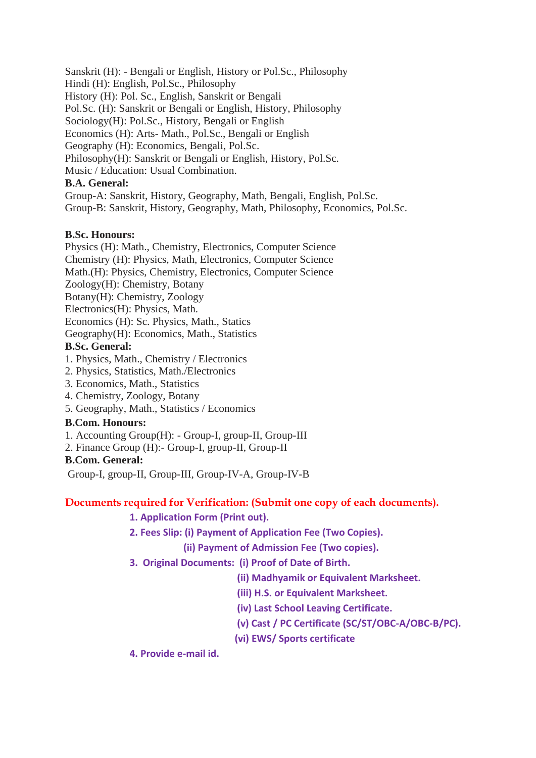Sanskrit (H): - Bengali or English, History or Pol.Sc., Philosophy Hindi (H): English, Pol.Sc., Philosophy History (H): Pol. Sc., English, Sanskrit or Bengali Pol.Sc. (H): Sanskrit or Bengali or English, History, Philosophy Sociology(H): Pol.Sc., History, Bengali or English Economics (H): Arts- Math., Pol.Sc., Bengali or English Geography (H): Economics, Bengali, Pol.Sc. Philosophy(H): Sanskrit or Bengali or English, History, Pol.Sc. Music / Education: Usual Combination.

### **B.A. General:**

Group-A: Sanskrit, History, Geography, Math, Bengali, English, Pol.Sc. Group-B: Sanskrit, History, Geography, Math, Philosophy, Economics, Pol.Sc.

#### **B.Sc. Honours:**

Physics (H): Math., Chemistry, Electronics, Computer Science Chemistry (H): Physics, Math, Electronics, Computer Science Math.(H): Physics, Chemistry, Electronics, Computer Science Zoology(H): Chemistry, Botany Botany(H): Chemistry, Zoology Electronics(H): Physics, Math. Economics (H): Sc. Physics, Math., Statics Geography(H): Economics, Math., Statistics **B.Sc. General:**

- 1. Physics, Math., Chemistry / Electronics
- 2. Physics, Statistics, Math./Electronics
- 3. Economics, Math., Statistics
- 4. Chemistry, Zoology, Botany
- 5. Geography, Math., Statistics / Economics

#### **B.Com. Honours:**

- 1. Accounting Group(H): Group-I, group-II, Group-III
- 2. Finance Group (H):- Group-I, group-II, Group-II

#### **B.Com. General:**

Group-I, group-II, Group-III, Group-IV-A, Group-IV-B

#### **Documents required for Verification: (Submit one copy of each documents).**

**1. Application Form (Print out).**

**2. Fees Slip: (i) Payment of Application Fee (Two Copies).**

 **(ii) Payment of Admission Fee (Two copies).**

- **3. Original Documents: (i) Proof of Date of Birth.**
	- **(ii) Madhyamik or Equivalent Marksheet.**
	- **(iii) H.S. or Equivalent Marksheet.**
	- **(iv) Last School Leaving Certificate.**
	- **(v) Cast / PC Certificate (SC/ST/OBC-A/OBC-B/PC).**
	- **(vi) EWS/ Sports certificate**

**4. Provide e-mail id.**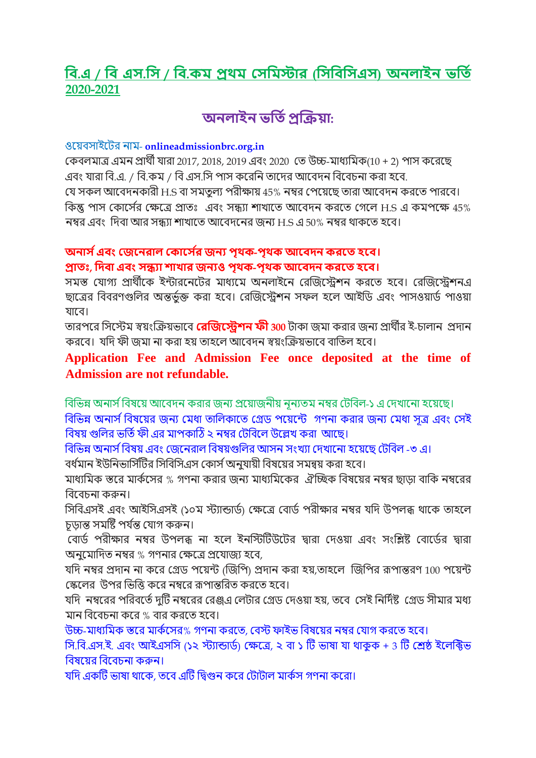# **বি.এ / বি এস.বস / বি.কম প্রথম সসবমস্টার (বসবিবসএস) অনলাইন ভবতি 2020-2021**

# **অনলাইন ভবতিপ্রক্রিযা:**

### ওয়েবসাইযের নাম- **onlineadmissionbrc.org.in**

কেবলমাত্র এমন প্রার্থী যারা 2017, 2018, 2019 এবং 2020 কে উচ্চ-মাধ্যমমে(10 + 2) পাস েযরযে এবং যারা বি.এ. / বি.কম / বি এস.সি পাস করেনি তাদের আবেদন বিবেচনা করা হবে. যে সকল আবেদনকারী H.S বা সমতুল্য পরীক্ষায় 45% নম্বর পেয়েছে তারা আবেদন করতে পারবে। কিন্তু পাস কোর্সের ক্ষেত্রে প্রাতঃ এবং সন্ধ্যা শাখাতে আবেদন করতে গেলে H.S এ কমপক্ষে 45% নম্বর এবং দিবা আর সন্ধ্যা শাখাতে আবেদনের জন্য H.S এ 50% নম্বর থাকতে হবে।

# **অনাস িএিং সেননরাল সকানস ির েনয পৃথক-পৃথক আনিদন করনত হনি।**

# **প্রাতঃ, বদিা এিং সন্ধ্যা শাখার েনযও পৃথক-পৃথক আনিদন করনত হনি।**

সমস্ত যােগ্য প্রার্থীকে ইন্টারনেটের মাধ্যমে অনলাইনে রেজিস্টেশন করতে হবে। রেজিস্টেশনএ ছাত্রের বিবরণগুলির অন্তর্ভক্ত করা হবে। রেজিস্ট্রেশন সফল হলে আইডি এবং পাসওয়ার্ড পাওয়া যাযব।

তারপরে সিস্টেম স্বয়ংক্রিয়ভাবে **রেজিস্ট্রেশন ফী** 300 টাকা জমা করার জন্য প্রার্থীর ই-চালান প্রদান করবে। যদি ফী জমা না করা হয় তাহলে আবেদন স্বয়ংক্রিয়ভাবে বাতিল হবে।

# **Application Fee and Admission Fee once deposited at the time of Admission are not refundable.**

বিভিন্ন অনার্স বিষয়ে আবেদন করার জন্য প্রয়োজনীয় নূন্যতম নম্বর টেবিল-১ এ দেখানো হয়েছে।

বিভিন্ন অনার্স বিষয়ের জন্য মেধা তালিকাতে গ্রেড পয়েন্টে গণনা করার জন্য মেধা সত্র এবং সেই বিষয় গুলির ভর্তি ফী এর মাপকাঠি ২ নম্বর টেবিলে উল্লেখ করা আছে।

বিভিন্ন অনার্স বিষয় এবং জেনেরাল বিষয়গুলির আসন সংখ্যা দেখানো হয়েছে টেবিল -৩ এ।

বর্ধমান ইউনিভার্সিটির সিবিসিএস কোর্স অনযায়ী বিষয়ের সমন্বয় করা হবে।

মাধ্যমিক স্তরে মার্কসের % গণনা করার জন্য মাধ্যমিকের *ঐ*চ্ছিক বিষয়ের নম্বর ছাড়া বাকি নম্বরের বিবেচনা করুন।

সিবিএসই এবং আইসিএসই (১০ম স্ট্যান্ডার্ড) ক্ষেত্রে বোর্ড পরীক্ষার নম্বর যদি উপলব্ধ থাকে তাহলে চূড়ান্ত সমষ্টি পর্যন্ত যোগ করুন।

বোর্ড পরীক্ষার নম্বর উপলব্ধ না হলে ইনস্টিটিউটের দ্বারা দেওয়া এবং সংশ্লিষ্ট বোর্ডের দ্বারা অনুযমামেে নম্বর % েণনার কক্ষযত্র প্রযযাজয হযব,

যদি নম্বর প্রদান না করে গ্রেড পয়েন্ট (জিপি) প্রদান করা হয়,তাহলে জিপির রূপান্তরণ 100 পয়েন্ট ক্ষেলের উপর ভিত্তি করে নম্বরে রূপান্তরিত করতে হবে।

যদি নম্বরের পরিবর্তে দুটি নম্বরের রেঞ্জএ লেটার গ্রেড দেওয়া হয়, তবে সেই নির্দিষ্ট গ্রেড সীমার মধ্য মান বিবেচনা করে % বার করতে হবে।

উচ্চ-মাধ্যমিক স্তরে মার্কসের% গণনা করতে, বেস্ট ফাইভ বিষয়ের নম্বর যোগ করতে হবে।

সি.বি.এস.ই. এবং আইএসসি (১২ স্ট্যান্ডার্ড) ক্ষেত্রে, ২ বা ১ টি ভাষা যা থাকুক + 3 টি শ্রেষ্ঠ ইলেক্টিভ বিষয়ের বিবেচনা করুন।

যদি একটি ভাষা থাকে, তবে এটি দ্বিগুন করে টোটাল মার্কস গণনা করো।